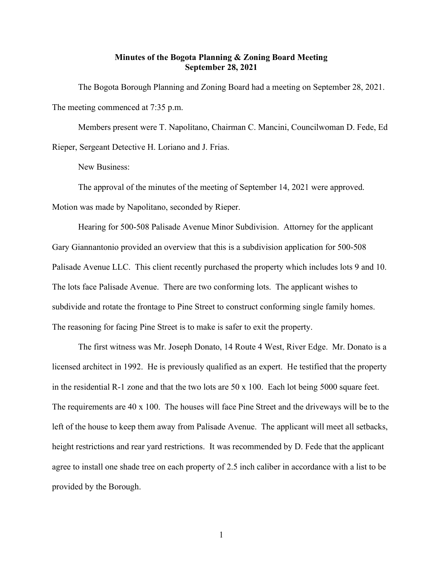## Minutes of the Bogota Planning & Zoning Board Meeting September 28, 2021

The Bogota Borough Planning and Zoning Board had a meeting on September 28, 2021. The meeting commenced at 7:35 p.m.

Members present were T. Napolitano, Chairman C. Mancini, Councilwoman D. Fede, Ed Rieper, Sergeant Detective H. Loriano and J. Frias.

New Business:

The approval of the minutes of the meeting of September 14, 2021 were approved.

Motion was made by Napolitano, seconded by Rieper.

Hearing for 500-508 Palisade Avenue Minor Subdivision. Attorney for the applicant Gary Giannantonio provided an overview that this is a subdivision application for 500-508 Palisade Avenue LLC. This client recently purchased the property which includes lots 9 and 10. The lots face Palisade Avenue. There are two conforming lots. The applicant wishes to subdivide and rotate the frontage to Pine Street to construct conforming single family homes. The reasoning for facing Pine Street is to make is safer to exit the property.

The first witness was Mr. Joseph Donato, 14 Route 4 West, River Edge. Mr. Donato is a licensed architect in 1992. He is previously qualified as an expert. He testified that the property in the residential R-1 zone and that the two lots are 50 x 100. Each lot being 5000 square feet. The requirements are 40 x 100. The houses will face Pine Street and the driveways will be to the left of the house to keep them away from Palisade Avenue. The applicant will meet all setbacks, height restrictions and rear yard restrictions. It was recommended by D. Fede that the applicant agree to install one shade tree on each property of 2.5 inch caliber in accordance with a list to be provided by the Borough.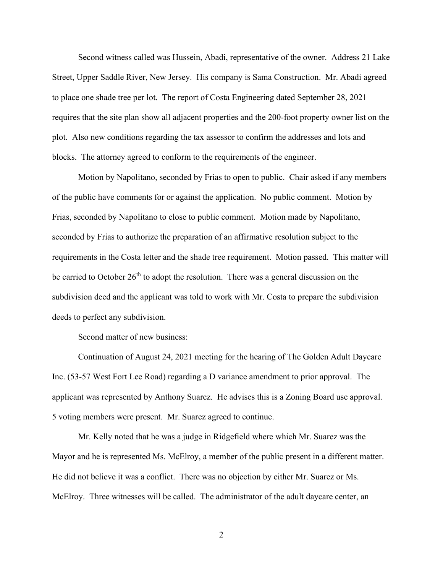Second witness called was Hussein, Abadi, representative of the owner. Address 21 Lake Street, Upper Saddle River, New Jersey. His company is Sama Construction. Mr. Abadi agreed to place one shade tree per lot. The report of Costa Engineering dated September 28, 2021 requires that the site plan show all adjacent properties and the 200-foot property owner list on the plot. Also new conditions regarding the tax assessor to confirm the addresses and lots and blocks. The attorney agreed to conform to the requirements of the engineer.

Motion by Napolitano, seconded by Frias to open to public. Chair asked if any members of the public have comments for or against the application. No public comment. Motion by Frias, seconded by Napolitano to close to public comment. Motion made by Napolitano, seconded by Frias to authorize the preparation of an affirmative resolution subject to the requirements in the Costa letter and the shade tree requirement. Motion passed. This matter will be carried to October  $26<sup>th</sup>$  to adopt the resolution. There was a general discussion on the subdivision deed and the applicant was told to work with Mr. Costa to prepare the subdivision deeds to perfect any subdivision.

Second matter of new business:

Continuation of August 24, 2021 meeting for the hearing of The Golden Adult Daycare Inc. (53-57 West Fort Lee Road) regarding a D variance amendment to prior approval. The applicant was represented by Anthony Suarez. He advises this is a Zoning Board use approval. 5 voting members were present. Mr. Suarez agreed to continue.

Mr. Kelly noted that he was a judge in Ridgefield where which Mr. Suarez was the Mayor and he is represented Ms. McElroy, a member of the public present in a different matter. He did not believe it was a conflict. There was no objection by either Mr. Suarez or Ms. McElroy. Three witnesses will be called. The administrator of the adult daycare center, an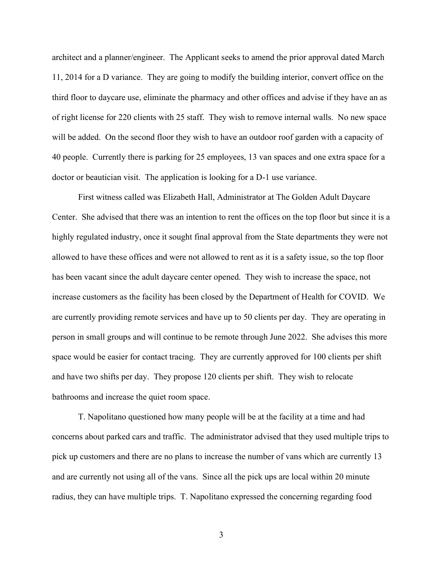architect and a planner/engineer. The Applicant seeks to amend the prior approval dated March 11, 2014 for a D variance. They are going to modify the building interior, convert office on the third floor to daycare use, eliminate the pharmacy and other offices and advise if they have an as of right license for 220 clients with 25 staff. They wish to remove internal walls. No new space will be added. On the second floor they wish to have an outdoor roof garden with a capacity of 40 people. Currently there is parking for 25 employees, 13 van spaces and one extra space for a doctor or beautician visit. The application is looking for a D-1 use variance.

First witness called was Elizabeth Hall, Administrator at The Golden Adult Daycare Center. She advised that there was an intention to rent the offices on the top floor but since it is a highly regulated industry, once it sought final approval from the State departments they were not allowed to have these offices and were not allowed to rent as it is a safety issue, so the top floor has been vacant since the adult daycare center opened. They wish to increase the space, not increase customers as the facility has been closed by the Department of Health for COVID. We are currently providing remote services and have up to 50 clients per day. They are operating in person in small groups and will continue to be remote through June 2022. She advises this more space would be easier for contact tracing. They are currently approved for 100 clients per shift and have two shifts per day. They propose 120 clients per shift. They wish to relocate bathrooms and increase the quiet room space.

T. Napolitano questioned how many people will be at the facility at a time and had concerns about parked cars and traffic. The administrator advised that they used multiple trips to pick up customers and there are no plans to increase the number of vans which are currently 13 and are currently not using all of the vans. Since all the pick ups are local within 20 minute radius, they can have multiple trips. T. Napolitano expressed the concerning regarding food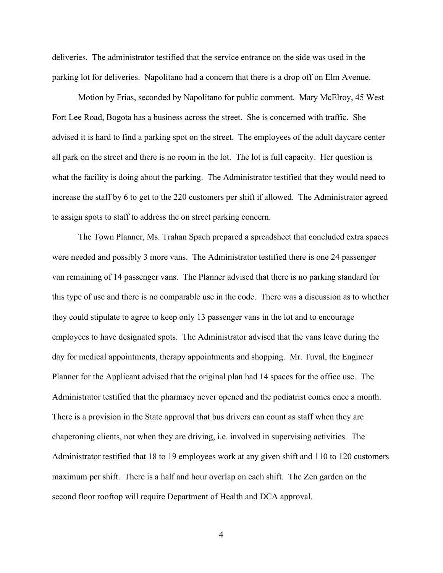deliveries. The administrator testified that the service entrance on the side was used in the parking lot for deliveries. Napolitano had a concern that there is a drop off on Elm Avenue.

Motion by Frias, seconded by Napolitano for public comment. Mary McElroy, 45 West Fort Lee Road, Bogota has a business across the street. She is concerned with traffic. She advised it is hard to find a parking spot on the street. The employees of the adult daycare center all park on the street and there is no room in the lot. The lot is full capacity. Her question is what the facility is doing about the parking. The Administrator testified that they would need to increase the staff by 6 to get to the 220 customers per shift if allowed. The Administrator agreed to assign spots to staff to address the on street parking concern.

The Town Planner, Ms. Trahan Spach prepared a spreadsheet that concluded extra spaces were needed and possibly 3 more vans. The Administrator testified there is one 24 passenger van remaining of 14 passenger vans. The Planner advised that there is no parking standard for this type of use and there is no comparable use in the code. There was a discussion as to whether they could stipulate to agree to keep only 13 passenger vans in the lot and to encourage employees to have designated spots. The Administrator advised that the vans leave during the day for medical appointments, therapy appointments and shopping. Mr. Tuval, the Engineer Planner for the Applicant advised that the original plan had 14 spaces for the office use. The Administrator testified that the pharmacy never opened and the podiatrist comes once a month. There is a provision in the State approval that bus drivers can count as staff when they are chaperoning clients, not when they are driving, i.e. involved in supervising activities. The Administrator testified that 18 to 19 employees work at any given shift and 110 to 120 customers maximum per shift. There is a half and hour overlap on each shift. The Zen garden on the second floor rooftop will require Department of Health and DCA approval.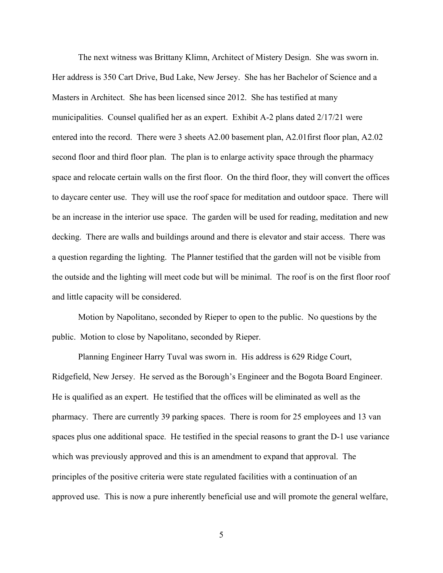The next witness was Brittany Klimn, Architect of Mistery Design. She was sworn in. Her address is 350 Cart Drive, Bud Lake, New Jersey. She has her Bachelor of Science and a Masters in Architect. She has been licensed since 2012. She has testified at many municipalities. Counsel qualified her as an expert. Exhibit A-2 plans dated 2/17/21 were entered into the record. There were 3 sheets A2.00 basement plan, A2.01first floor plan, A2.02 second floor and third floor plan. The plan is to enlarge activity space through the pharmacy space and relocate certain walls on the first floor. On the third floor, they will convert the offices to daycare center use. They will use the roof space for meditation and outdoor space. There will be an increase in the interior use space. The garden will be used for reading, meditation and new decking. There are walls and buildings around and there is elevator and stair access. There was a question regarding the lighting. The Planner testified that the garden will not be visible from the outside and the lighting will meet code but will be minimal. The roof is on the first floor roof and little capacity will be considered.

Motion by Napolitano, seconded by Rieper to open to the public. No questions by the public. Motion to close by Napolitano, seconded by Rieper.

Planning Engineer Harry Tuval was sworn in. His address is 629 Ridge Court, Ridgefield, New Jersey. He served as the Borough's Engineer and the Bogota Board Engineer. He is qualified as an expert. He testified that the offices will be eliminated as well as the pharmacy. There are currently 39 parking spaces. There is room for 25 employees and 13 van spaces plus one additional space. He testified in the special reasons to grant the D-1 use variance which was previously approved and this is an amendment to expand that approval. The principles of the positive criteria were state regulated facilities with a continuation of an approved use. This is now a pure inherently beneficial use and will promote the general welfare,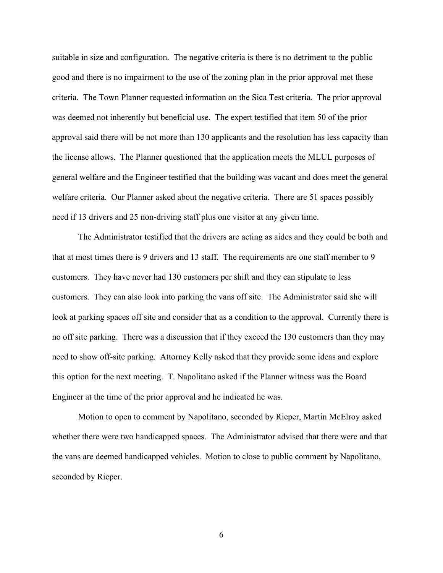suitable in size and configuration. The negative criteria is there is no detriment to the public good and there is no impairment to the use of the zoning plan in the prior approval met these criteria. The Town Planner requested information on the Sica Test criteria. The prior approval was deemed not inherently but beneficial use. The expert testified that item 50 of the prior approval said there will be not more than 130 applicants and the resolution has less capacity than the license allows. The Planner questioned that the application meets the MLUL purposes of general welfare and the Engineer testified that the building was vacant and does meet the general welfare criteria. Our Planner asked about the negative criteria. There are 51 spaces possibly need if 13 drivers and 25 non-driving staff plus one visitor at any given time.

The Administrator testified that the drivers are acting as aides and they could be both and that at most times there is 9 drivers and 13 staff. The requirements are one staff member to 9 customers. They have never had 130 customers per shift and they can stipulate to less customers. They can also look into parking the vans off site. The Administrator said she will look at parking spaces off site and consider that as a condition to the approval. Currently there is no off site parking. There was a discussion that if they exceed the 130 customers than they may need to show off-site parking. Attorney Kelly asked that they provide some ideas and explore this option for the next meeting. T. Napolitano asked if the Planner witness was the Board Engineer at the time of the prior approval and he indicated he was.

Motion to open to comment by Napolitano, seconded by Rieper, Martin McElroy asked whether there were two handicapped spaces. The Administrator advised that there were and that the vans are deemed handicapped vehicles. Motion to close to public comment by Napolitano, seconded by Rieper.